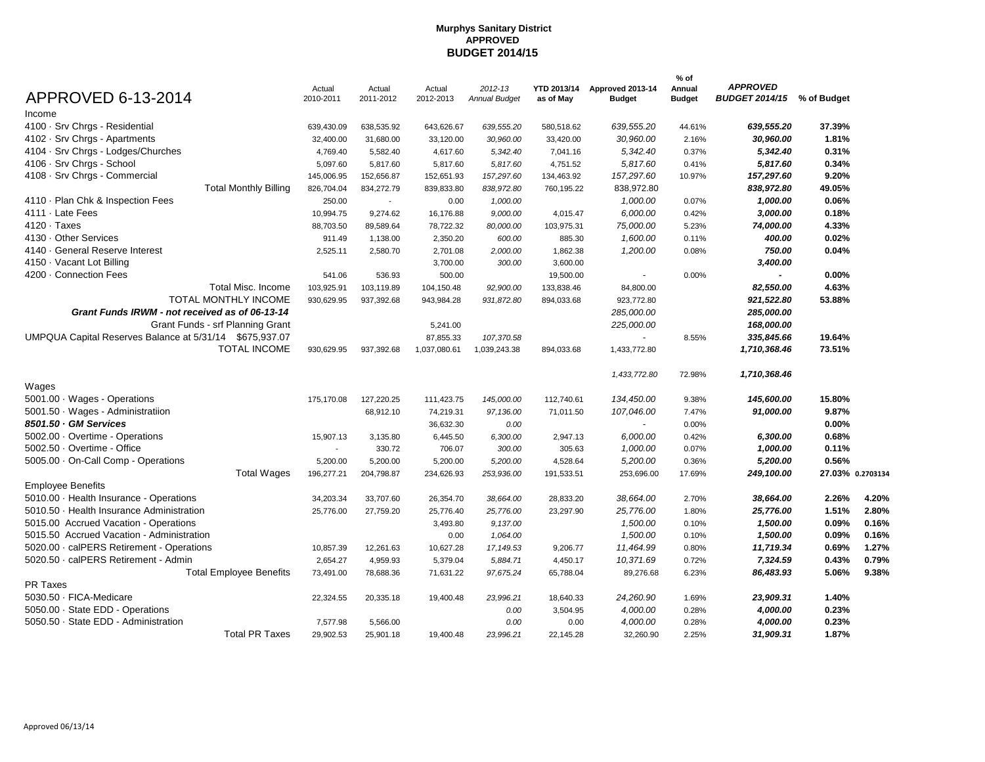| APPROVED 6-13-2014                                      | Actual<br>2010-2011 | Actual<br>2011-2012      | Actual<br>2012-2013 | 2012-13<br><b>Annual Budget</b> | <b>YTD 2013/14</b><br>as of May | Approved 2013-14<br><b>Budget</b> | % of<br>Annual<br><b>Budget</b> | <b>APPROVED</b><br>BUDGET 2014/15 % of Budget |                  |       |
|---------------------------------------------------------|---------------------|--------------------------|---------------------|---------------------------------|---------------------------------|-----------------------------------|---------------------------------|-----------------------------------------------|------------------|-------|
| Income                                                  |                     |                          |                     |                                 |                                 |                                   |                                 |                                               |                  |       |
| 4100 · Srv Chrgs - Residential                          | 639,430.09          | 638,535.92               | 643,626.67          | 639,555.20                      | 580,518.62                      | 639.555.20                        | 44.61%                          | 639,555.20                                    | 37.39%           |       |
| 4102 · Srv Chrgs - Apartments                           | 32,400.00           | 31,680.00                | 33,120.00           | 30,960.00                       | 33,420.00                       | 30,960.00                         | 2.16%                           | 30,960.00                                     | 1.81%            |       |
| 4104 · Srv Chrgs - Lodges/Churches                      | 4,769.40            | 5,582.40                 | 4,617.60            | 5,342.40                        | 7,041.16                        | 5,342.40                          | 0.37%                           | 5,342.40                                      | 0.31%            |       |
| 4106 · Srv Chrgs - School                               | 5,097.60            | 5,817.60                 | 5,817.60            | 5,817.60                        | 4,751.52                        | 5,817.60                          | 0.41%                           | 5,817.60                                      | 0.34%            |       |
| 4108 · Srv Chrgs - Commercial                           | 145,006.95          | 152,656.87               | 152,651.93          | 157,297.60                      | 134,463.92                      | 157,297.60                        | 10.97%                          | 157,297.60                                    | 9.20%            |       |
| <b>Total Monthly Billing</b>                            | 826,704.04          | 834,272.79               | 839,833.80          | 838,972.80                      | 760,195.22                      | 838,972.80                        |                                 | 838,972.80                                    | 49.05%           |       |
| 4110 · Plan Chk & Inspection Fees                       | 250.00              | $\overline{\phantom{a}}$ | 0.00                | 1,000.00                        |                                 | 1,000.00                          | 0.07%                           | 1,000.00                                      | 0.06%            |       |
| 4111 · Late Fees                                        | 10,994.75           | 9,274.62                 | 16,176.88           | 9,000.00                        | 4,015.47                        | 6,000.00                          | 0.42%                           | 3,000.00                                      | 0.18%            |       |
| $4120 \cdot$ Taxes                                      | 88,703.50           | 89,589.64                | 78,722.32           | 80,000.00                       | 103,975.31                      | 75,000.00                         | 5.23%                           | 74,000.00                                     | 4.33%            |       |
| 4130 · Other Services                                   | 911.49              | 1,138.00                 | 2,350.20            | 600.00                          | 885.30                          | 1,600.00                          | 0.11%                           | 400.00                                        | 0.02%            |       |
| 4140 · General Reserve Interest                         | 2,525.11            | 2,580.70                 | 2,701.08            | 2,000.00                        | 1,862.38                        | 1,200.00                          | 0.08%                           | 750.00                                        | 0.04%            |       |
| 4150 · Vacant Lot Billing                               |                     |                          | 3,700.00            | 300.00                          | 3,600.00                        |                                   |                                 | 3,400.00                                      |                  |       |
| 4200 · Connection Fees                                  | 541.06              | 536.93                   | 500.00              |                                 | 19,500.00                       | $\overline{\phantom{a}}$          | 0.00%                           |                                               | 0.00%            |       |
| <b>Total Misc. Income</b>                               | 103,925.91          | 103,119.89               | 104,150.48          | 92,900.00                       | 133,838.46                      | 84,800.00                         |                                 | 82,550.00                                     | 4.63%            |       |
| <b>TOTAL MONTHLY INCOME</b>                             | 930,629.95          | 937,392.68               | 943,984.28          | 931,872.80                      | 894,033.68                      | 923,772.80                        |                                 | 921,522.80                                    | 53.88%           |       |
| Grant Funds IRWM - not received as of 06-13-14          |                     |                          |                     |                                 |                                 | 285,000.00                        |                                 | 285,000.00                                    |                  |       |
| Grant Funds - srf Planning Grant                        |                     |                          | 5,241.00            |                                 |                                 | 225,000.00                        |                                 | 168,000.00                                    |                  |       |
| UMPQUA Capital Reserves Balance at 5/31/14 \$675,937.07 |                     |                          | 87,855.33           | 107,370.58                      |                                 | $\sim$                            | 8.55%                           | 335,845.66                                    | 19.64%           |       |
| <b>TOTAL INCOME</b>                                     | 930.629.95          | 937,392.68               | 1,037,080.61        | 1,039,243.38                    | 894,033.68                      | 1,433,772.80                      |                                 | 1,710,368.46                                  | 73.51%           |       |
|                                                         |                     |                          |                     |                                 |                                 | 1,433,772.80                      | 72.98%                          | 1,710,368.46                                  |                  |       |
| Wages                                                   |                     |                          |                     |                                 |                                 |                                   |                                 |                                               |                  |       |
| 5001.00 · Wages - Operations                            | 175,170.08          | 127,220.25               | 111,423.75          | 145,000.00                      | 112,740.61                      | 134,450.00                        | 9.38%                           | 145,600.00                                    | 15.80%           |       |
| 5001.50 · Wages - Administratiion                       |                     | 68,912.10                | 74,219.31           | 97, 136.00                      | 71,011.50                       | 107,046.00                        | 7.47%                           | 91,000.00                                     | 9.87%            |       |
| 8501.50 GM Services                                     |                     |                          | 36,632.30           | 0.00                            |                                 | $\sim$                            | 0.00%                           |                                               | $0.00\%$         |       |
| 5002.00 · Overtime - Operations                         | 15,907.13           | 3,135.80                 | 6,445.50            | 6,300.00                        | 2,947.13                        | 6,000.00                          | 0.42%                           | 6,300.00                                      | 0.68%            |       |
| 5002.50 · Overtime - Office                             | $\sim$              | 330.72                   | 706.07              | 300.00                          | 305.63                          | 1,000.00                          | 0.07%                           | 1,000.00                                      | 0.11%            |       |
| 5005.00 · On-Call Comp - Operations                     | 5,200.00            | 5,200.00                 | 5,200.00            | 5,200.00                        | 4,528.64                        | 5,200.00                          | 0.36%                           | 5,200.00                                      | 0.56%            |       |
| <b>Total Wages</b>                                      | 196,277.21          | 204,798.87               | 234,626.93          | 253,936.00                      | 191,533.51                      | 253,696.00                        | 17.69%                          | 249,100.00                                    | 27.03% 0.2703134 |       |
| <b>Employee Benefits</b>                                |                     |                          |                     |                                 |                                 |                                   |                                 |                                               |                  |       |
| 5010.00 · Health Insurance - Operations                 | 34,203.34           | 33,707.60                | 26,354.70           | 38,664.00                       | 28,833.20                       | 38,664.00                         | 2.70%                           | 38,664.00                                     | 2.26%            | 4.20% |
| 5010.50 · Health Insurance Administration               | 25,776.00           | 27,759.20                | 25,776.40           | 25,776.00                       | 23,297.90                       | 25,776.00                         | 1.80%                           | 25,776.00                                     | 1.51%            | 2.80% |
| 5015.00 Accrued Vacation - Operations                   |                     |                          | 3,493.80            | 9,137.00                        |                                 | 1,500.00                          | 0.10%                           | 1,500.00                                      | 0.09%            | 0.16% |
| 5015.50 Accrued Vacation - Administration               |                     |                          | 0.00                | 1,064.00                        |                                 | 1,500.00                          | 0.10%                           | 1,500.00                                      | 0.09%            | 0.16% |
| 5020.00 · calPERS Retirement - Operations               | 10,857.39           | 12,261.63                | 10,627.28           | 17, 149.53                      | 9,206.77                        | 11,464.99                         | 0.80%                           | 11,719.34                                     | 0.69%            | 1.27% |
| 5020.50 · calPERS Retirement - Admin                    | 2,654.27            | 4,959.93                 | 5,379.04            | 5,884.71                        | 4,450.17                        | 10,371.69                         | 0.72%                           | 7,324.59                                      | 0.43%            | 0.79% |
| <b>Total Employee Benefits</b>                          | 73,491.00           | 78,688.36                | 71,631.22           | 97,675.24                       | 65,788.04                       | 89,276.68                         | 6.23%                           | 86,483.93                                     | 5.06%            | 9.38% |
| PR Taxes                                                |                     |                          |                     |                                 |                                 |                                   |                                 |                                               |                  |       |
| 5030.50 · FICA-Medicare                                 | 22,324.55           | 20,335.18                | 19,400.48           | 23,996.21                       | 18,640.33                       | 24,260.90                         | 1.69%                           | 23,909.31                                     | 1.40%            |       |
| 5050.00 · State EDD - Operations                        |                     |                          |                     | 0.00                            | 3,504.95                        | 4,000.00                          | 0.28%                           | 4,000.00                                      | 0.23%            |       |
| 5050.50 · State EDD - Administration                    | 7,577.98            | 5,566.00                 |                     | 0.00                            | 0.00                            | 4,000.00                          | 0.28%                           | 4,000.00                                      | 0.23%            |       |
| <b>Total PR Taxes</b>                                   | 29,902.53           | 25,901.18                | 19.400.48           | 23,996.21                       | 22,145.28                       | 32,260.90                         | 2.25%                           | 31,909.31                                     | 1.87%            |       |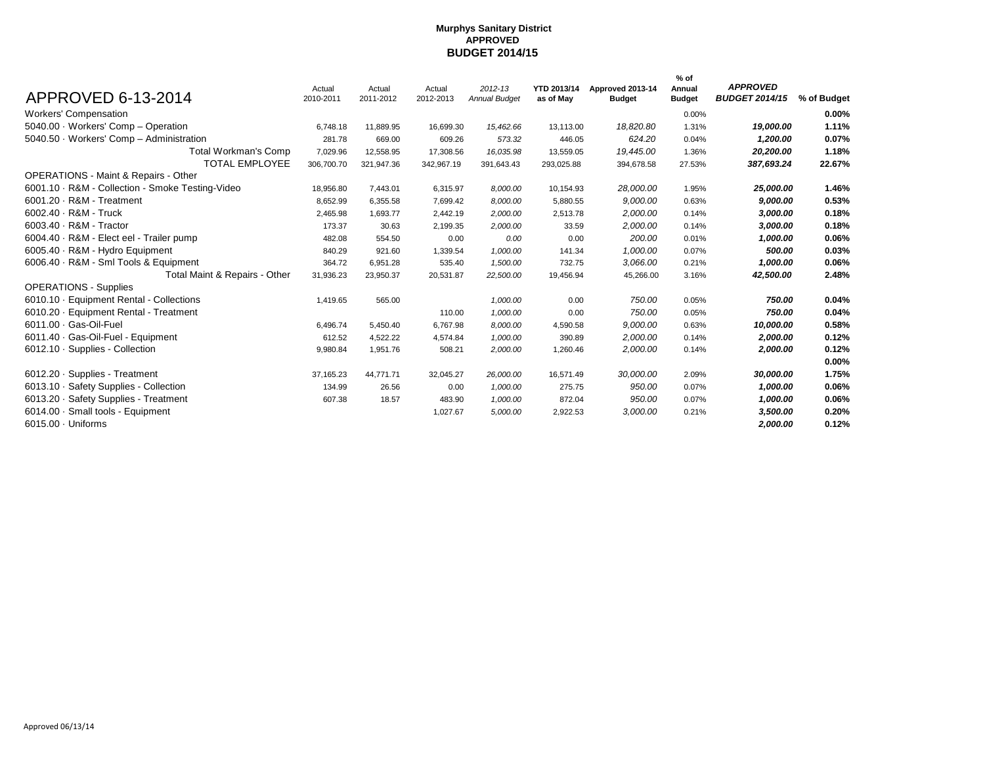|                                                  | Actual     | Actual     | Actual     | $2012 - 13$          | YTD 2013/14 | Approved 2013-14 | % of<br>Annual | <b>APPROVED</b>       |             |
|--------------------------------------------------|------------|------------|------------|----------------------|-------------|------------------|----------------|-----------------------|-------------|
| APPROVED 6-13-2014                               | 2010-2011  | 2011-2012  | 2012-2013  | <b>Annual Budget</b> | as of May   | <b>Budget</b>    | <b>Budget</b>  | <b>BUDGET 2014/15</b> | % of Budget |
| <b>Workers' Compensation</b>                     |            |            |            |                      |             |                  | 0.00%          |                       | $0.00\%$    |
| 5040.00 · Workers' Comp - Operation              | 6,748.18   | 11,889.95  | 16,699.30  | 15,462.66            | 13,113.00   | 18,820.80        | 1.31%          | 19,000.00             | 1.11%       |
| 5040.50 · Workers' Comp - Administration         | 281.78     | 669.00     | 609.26     | 573.32               | 446.05      | 624.20           | 0.04%          | 1.200.00              | 0.07%       |
| Total Workman's Comp                             | 7,029.96   | 12,558.95  | 17,308.56  | 16,035.98            | 13,559.05   | 19,445.00        | 1.36%          | 20,200.00             | 1.18%       |
| TOTAL EMPLOYEE                                   | 306,700.70 | 321,947.36 | 342,967.19 | 391,643.43           | 293,025.88  | 394,678.58       | 27.53%         | 387,693.24            | 22.67%      |
| <b>OPERATIONS - Maint &amp; Repairs - Other</b>  |            |            |            |                      |             |                  |                |                       |             |
| 6001.10 · R&M - Collection - Smoke Testing-Video | 18,956.80  | 7,443.01   | 6,315.97   | 8,000.00             | 10,154.93   | 28,000.00        | 1.95%          | 25,000.00             | 1.46%       |
| $6001.20 \cdot R$ &M - Treatment                 | 8,652.99   | 6,355.58   | 7,699.42   | 8,000.00             | 5,880.55    | 9,000.00         | 0.63%          | 9,000.00              | 0.53%       |
| $6002.40 \cdot R$ &M - Truck                     | 2,465.98   | 1,693.77   | 2,442.19   | 2,000.00             | 2,513.78    | 2,000.00         | 0.14%          | 3,000.00              | 0.18%       |
| $6003.40 \cdot R$ &M - Tractor                   | 173.37     | 30.63      | 2,199.35   | 2,000.00             | 33.59       | 2,000.00         | 0.14%          | 3,000.00              | 0.18%       |
| 6004.40 · R&M - Elect eel - Trailer pump         | 482.08     | 554.50     | 0.00       | 0.00                 | 0.00        | 200.00           | 0.01%          | 1,000.00              | 0.06%       |
| 6005.40 · R&M - Hydro Equipment                  | 840.29     | 921.60     | 1,339.54   | 1,000.00             | 141.34      | 1,000.00         | 0.07%          | 500.00                | 0.03%       |
| 6006.40 · R&M - Sml Tools & Equipment            | 364.72     | 6,951.28   | 535.40     | 1,500.00             | 732.75      | 3,066.00         | 0.21%          | 1,000.00              | 0.06%       |
| Total Maint & Repairs - Other                    | 31,936.23  | 23,950.37  | 20,531.87  | 22,500.00            | 19,456.94   | 45,266.00        | 3.16%          | 42,500.00             | 2.48%       |
| <b>OPERATIONS - Supplies</b>                     |            |            |            |                      |             |                  |                |                       |             |
| 6010.10 · Equipment Rental - Collections         | 1,419.65   | 565.00     |            | 1,000.00             | 0.00        | 750.00           | 0.05%          | 750.00                | 0.04%       |
| 6010.20 · Equipment Rental - Treatment           |            |            | 110.00     | 1,000.00             | 0.00        | 750.00           | 0.05%          | 750.00                | 0.04%       |
| 6011.00 · Gas-Oil-Fuel                           | 6,496.74   | 5,450.40   | 6,767.98   | 8,000.00             | 4,590.58    | 9,000.00         | 0.63%          | 10,000.00             | 0.58%       |
| 6011.40 · Gas-Oil-Fuel - Equipment               | 612.52     | 4,522.22   | 4,574.84   | 1,000.00             | 390.89      | 2,000.00         | 0.14%          | 2,000.00              | 0.12%       |
| 6012.10 · Supplies - Collection                  | 9,980.84   | 1,951.76   | 508.21     | 2,000.00             | 1,260.46    | 2,000.00         | 0.14%          | 2,000.00              | 0.12%       |
|                                                  |            |            |            |                      |             |                  |                |                       | 0.00%       |
| $6012.20 \cdot$ Supplies - Treatment             | 37, 165.23 | 44,771.71  | 32,045.27  | 26,000.00            | 16,571.49   | 30,000.00        | 2.09%          | 30,000.00             | 1.75%       |
| 6013.10 · Safety Supplies - Collection           | 134.99     | 26.56      | 0.00       | 1,000.00             | 275.75      | 950.00           | 0.07%          | 1,000.00              | 0.06%       |
| 6013.20 · Safety Supplies - Treatment            | 607.38     | 18.57      | 483.90     | 1,000.00             | 872.04      | 950.00           | 0.07%          | 1,000.00              | 0.06%       |
| 6014.00 · Small tools - Equipment                |            |            | 1,027.67   | 5,000.00             | 2,922.53    | 3,000.00         | 0.21%          | 3,500.00              | 0.20%       |
| $6015.00 \cdot$ Uniforms                         |            |            |            |                      |             |                  |                | 2,000.00              | 0.12%       |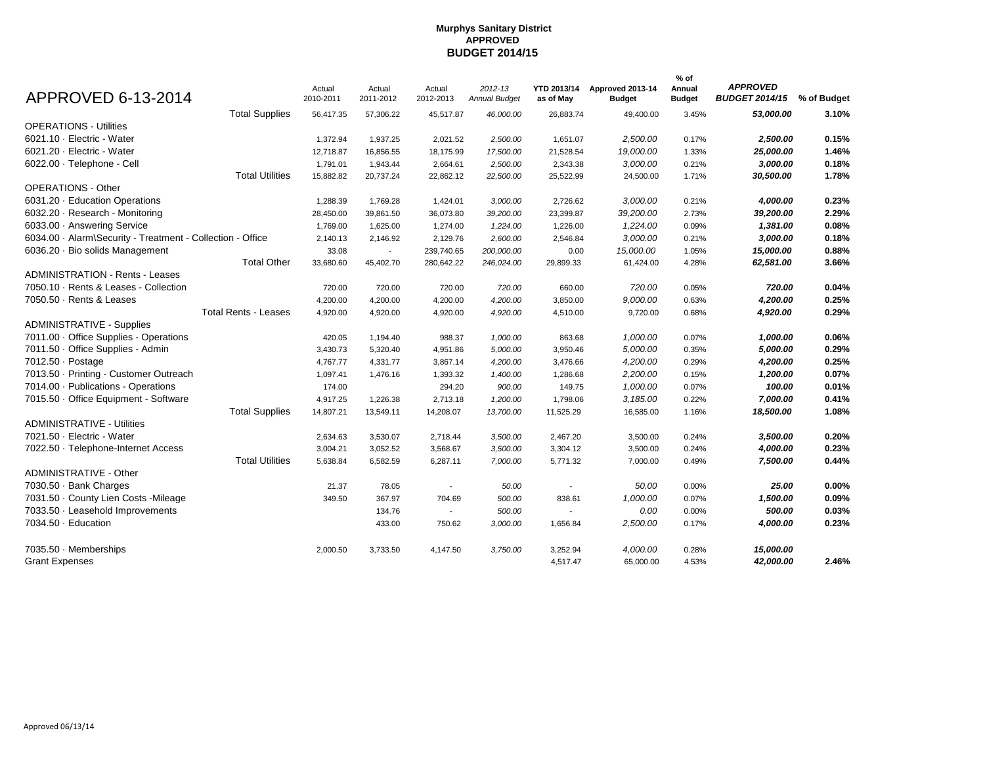| APPROVED 6-13-2014                                         | Actual<br>2010-2011 | Actual<br>2011-2012 | Actual<br>2012-2013 | 2012-13<br><b>Annual Budget</b> | YTD 2013/14<br>as of May | Approved 2013-14<br><b>Budget</b> | % of<br>Annual<br><b>Budget</b> | <b>APPROVED</b><br>BUDGET 2014/15 % of Budget |          |
|------------------------------------------------------------|---------------------|---------------------|---------------------|---------------------------------|--------------------------|-----------------------------------|---------------------------------|-----------------------------------------------|----------|
| <b>Total Supplies</b>                                      | 56,417.35           | 57,306.22           | 45,517.87           | 46,000.00                       | 26,883.74                | 49,400.00                         | 3.45%                           | 53,000.00                                     | 3.10%    |
| <b>OPERATIONS - Utilities</b>                              |                     |                     |                     |                                 |                          |                                   |                                 |                                               |          |
| 6021.10 · Electric - Water                                 | 1,372.94            | 1,937.25            | 2,021.52            | 2,500.00                        | 1,651.07                 | 2,500.00                          | 0.17%                           | 2,500.00                                      | 0.15%    |
| 6021.20 · Electric - Water                                 | 12,718.87           | 16,856.55           | 18,175.99           | 17,500.00                       | 21,528.54                | 19,000.00                         | 1.33%                           | 25,000.00                                     | 1.46%    |
| 6022.00 · Telephone - Cell                                 | 1,791.01            | 1,943.44            | 2,664.61            | 2,500.00                        | 2,343.38                 | 3,000.00                          | 0.21%                           | 3,000.00                                      | 0.18%    |
| <b>Total Utilities</b>                                     | 15,882.82           | 20,737.24           | 22,862.12           | 22,500.00                       | 25,522.99                | 24,500.00                         | 1.71%                           | 30,500.00                                     | 1.78%    |
| <b>OPERATIONS - Other</b>                                  |                     |                     |                     |                                 |                          |                                   |                                 |                                               |          |
| 6031.20 · Education Operations                             | 1,288.39            | 1,769.28            | 1,424.01            | 3,000.00                        | 2,726.62                 | 3,000.00                          | 0.21%                           | 4,000.00                                      | 0.23%    |
| 6032.20 · Research - Monitoring                            | 28,450.00           | 39,861.50           | 36,073.80           | 39,200.00                       | 23,399.87                | 39,200.00                         | 2.73%                           | 39,200.00                                     | 2.29%    |
| 6033.00 · Answering Service                                | 1,769.00            | 1,625.00            | 1,274.00            | 1,224.00                        | 1,226.00                 | 1,224.00                          | 0.09%                           | 1,381.00                                      | 0.08%    |
| 6034.00 · Alarm\Security - Treatment - Collection - Office | 2,140.13            | 2,146.92            | 2,129.76            | 2,600.00                        | 2,546.84                 | 3,000.00                          | 0.21%                           | 3,000.00                                      | 0.18%    |
| 6036.20 · Bio solids Management                            | 33.08               | $\sim$              | 239,740.65          | 200,000.00                      | 0.00                     | 15,000.00                         | 1.05%                           | 15,000.00                                     | 0.88%    |
| <b>Total Other</b>                                         | 33,680.60           | 45,402.70           | 280,642.22          | 246,024.00                      | 29,899.33                | 61,424.00                         | 4.28%                           | 62,581.00                                     | 3.66%    |
| <b>ADMINISTRATION - Rents - Leases</b>                     |                     |                     |                     |                                 |                          |                                   |                                 |                                               |          |
| 7050.10 · Rents & Leases - Collection                      | 720.00              | 720.00              | 720.00              | 720.00                          | 660.00                   | 720.00                            | 0.05%                           | 720.00                                        | 0.04%    |
| 7050.50 · Rents & Leases                                   | 4,200.00            | 4,200.00            | 4,200.00            | 4,200.00                        | 3,850.00                 | 9,000.00                          | 0.63%                           | 4,200.00                                      | 0.25%    |
| <b>Total Rents - Leases</b>                                | 4,920.00            | 4,920.00            | 4,920.00            | 4,920.00                        | 4,510.00                 | 9,720.00                          | 0.68%                           | 4,920.00                                      | 0.29%    |
| <b>ADMINISTRATIVE - Supplies</b>                           |                     |                     |                     |                                 |                          |                                   |                                 |                                               |          |
| 7011.00 · Office Supplies - Operations                     | 420.05              | 1,194.40            | 988.37              | 1,000.00                        | 863.68                   | 1,000.00                          | 0.07%                           | 1,000.00                                      | 0.06%    |
| 7011.50 · Office Supplies - Admin                          | 3,430.73            | 5,320.40            | 4,951.86            | 5,000.00                        | 3,950.46                 | 5,000.00                          | 0.35%                           | 5,000.00                                      | 0.29%    |
| 7012.50 · Postage                                          | 4,767.77            | 4,331.77            | 3,867.14            | 4,200.00                        | 3,476.66                 | 4,200.00                          | 0.29%                           | 4,200.00                                      | 0.25%    |
| 7013.50 · Printing - Customer Outreach                     | 1,097.41            | 1,476.16            | 1,393.32            | 1,400.00                        | 1,286.68                 | 2,200.00                          | 0.15%                           | 1,200.00                                      | 0.07%    |
| 7014.00 · Publications - Operations                        | 174.00              |                     | 294.20              | 900.00                          | 149.75                   | 1,000.00                          | 0.07%                           | 100.00                                        | 0.01%    |
| 7015.50 · Office Equipment - Software                      | 4,917.25            | 1,226.38            | 2,713.18            | 1,200.00                        | 1,798.06                 | 3,185.00                          | 0.22%                           | 7,000.00                                      | 0.41%    |
| <b>Total Supplies</b>                                      | 14,807.21           | 13,549.11           | 14,208.07           | 13,700.00                       | 11,525.29                | 16,585.00                         | 1.16%                           | 18,500.00                                     | 1.08%    |
| <b>ADMINISTRATIVE - Utilities</b>                          |                     |                     |                     |                                 |                          |                                   |                                 |                                               |          |
| 7021.50 · Electric - Water                                 | 2,634.63            | 3,530.07            | 2,718.44            | 3,500.00                        | 2,467.20                 | 3,500.00                          | 0.24%                           | 3,500.00                                      | 0.20%    |
| 7022.50 · Telephone-Internet Access                        | 3,004.21            | 3,052.52            | 3,568.67            | 3,500.00                        | 3,304.12                 | 3,500.00                          | 0.24%                           | 4,000.00                                      | 0.23%    |
| <b>Total Utilities</b>                                     | 5,638.84            | 6,582.59            | 6,287.11            | 7,000.00                        | 5,771.32                 | 7,000.00                          | 0.49%                           | 7,500.00                                      | 0.44%    |
| ADMINISTRATIVE - Other                                     |                     |                     |                     |                                 |                          |                                   |                                 |                                               |          |
| 7030.50 · Bank Charges                                     | 21.37               | 78.05               | $\blacksquare$      | 50.00                           | $\blacksquare$           | 50.00                             | 0.00%                           | 25.00                                         | $0.00\%$ |
| 7031.50 · County Lien Costs - Mileage                      | 349.50              | 367.97              | 704.69              | 500.00                          | 838.61                   | 1,000.00                          | 0.07%                           | 1,500.00                                      | 0.09%    |
| 7033.50 · Leasehold Improvements                           |                     | 134.76              | $\sim$              | 500.00                          | $\sim$                   | 0.00                              | 0.00%                           | 500.00                                        | 0.03%    |
| 7034.50 · Education                                        |                     | 433.00              | 750.62              | 3,000.00                        | 1,656.84                 | 2,500.00                          | 0.17%                           | 4,000.00                                      | 0.23%    |
| 7035.50 · Memberships                                      | 2,000.50            | 3,733.50            | 4,147.50            | 3,750.00                        | 3,252.94                 | 4,000.00                          | 0.28%                           | 15,000.00                                     |          |
| <b>Grant Expenses</b>                                      |                     |                     |                     |                                 | 4,517.47                 | 65,000.00                         | 4.53%                           | 42,000.00                                     | 2.46%    |